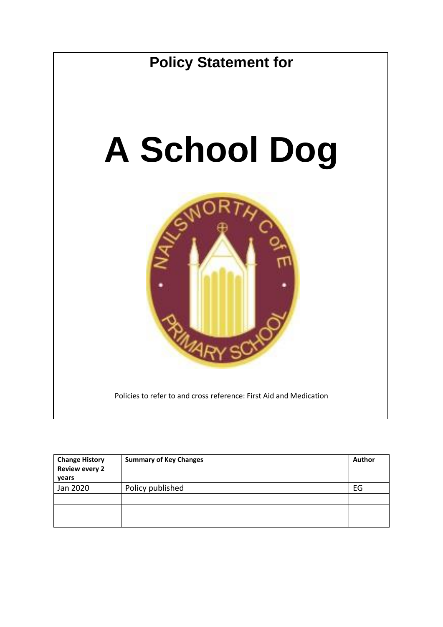

| <b>Change History</b><br><b>Review every 2</b><br>years | <b>Summary of Key Changes</b> |    |
|---------------------------------------------------------|-------------------------------|----|
| Jan 2020                                                | Policy published              | EG |
|                                                         |                               |    |
|                                                         |                               |    |
|                                                         |                               |    |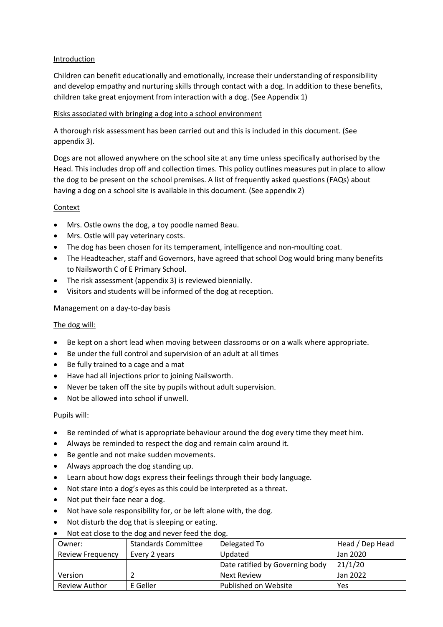#### Introduction

Children can benefit educationally and emotionally, increase their understanding of responsibility and develop empathy and nurturing skills through contact with a dog. In addition to these benefits, children take great enjoyment from interaction with a dog. (See Appendix 1)

#### Risks associated with bringing a dog into a school environment

A thorough risk assessment has been carried out and this is included in this document. (See appendix 3).

Dogs are not allowed anywhere on the school site at any time unless specifically authorised by the Head. This includes drop off and collection times. This policy outlines measures put in place to allow the dog to be present on the school premises. A list of frequently asked questions (FAQs) about having a dog on a school site is available in this document. (See appendix 2)

#### **Context**

- Mrs. Ostle owns the dog, a toy poodle named Beau.
- Mrs. Ostle will pay veterinary costs.
- The dog has been chosen for its temperament, intelligence and non-moulting coat.
- The Headteacher, staff and Governors, have agreed that school Dog would bring many benefits to Nailsworth C of E Primary School.
- The risk assessment (appendix 3) is reviewed biennially.
- Visitors and students will be informed of the dog at reception.

#### Management on a day-to-day basis

# The dog will:

- Be kept on a short lead when moving between classrooms or on a walk where appropriate.
- Be under the full control and supervision of an adult at all times
- Be fully trained to a cage and a mat
- Have had all injections prior to joining Nailsworth.
- Never be taken off the site by pupils without adult supervision.
- Not be allowed into school if unwell.

#### Pupils will:

- Be reminded of what is appropriate behaviour around the dog every time they meet him.
- Always be reminded to respect the dog and remain calm around it.
- Be gentle and not make sudden movements.
- Always approach the dog standing up.
- Learn about how dogs express their feelings through their body language.
- Not stare into a dog's eyes as this could be interpreted as a threat.
- Not put their face near a dog.
- Not have sole responsibility for, or be left alone with, the dog.
- Not disturb the dog that is sleeping or eating.
- Not eat close to the dog and never feed the dog.

| Owner:                  | <b>Standards Committee</b> | Delegated To                    | Head / Dep Head |
|-------------------------|----------------------------|---------------------------------|-----------------|
| <b>Review Frequency</b> | Every 2 years              | Updated                         | Jan 2020        |
|                         |                            | Date ratified by Governing body | 21/1/20         |
| Version                 |                            | <b>Next Review</b>              | Jan 2022        |
| <b>Review Author</b>    | E Geller                   | Published on Website            | Yes             |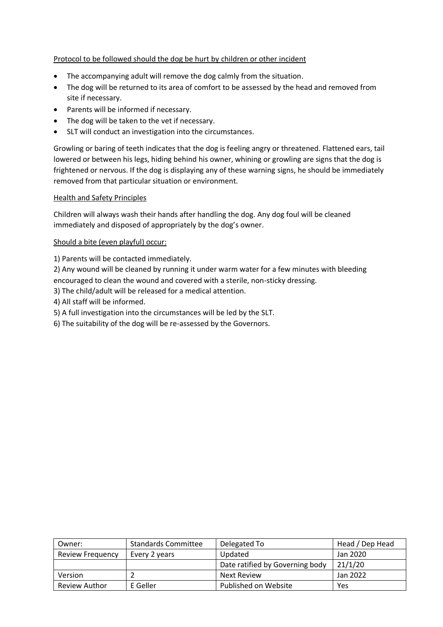# Protocol to be followed should the dog be hurt by children or other incident

- The accompanying adult will remove the dog calmly from the situation.
- The dog will be returned to its area of comfort to be assessed by the head and removed from site if necessary.
- Parents will be informed if necessary.
- The dog will be taken to the vet if necessary.
- SLT will conduct an investigation into the circumstances.

Growling or baring of teeth indicates that the dog is feeling angry or threatened. Flattened ears, tail lowered or between his legs, hiding behind his owner, whining or growling are signs that the dog is frightened or nervous. If the dog is displaying any of these warning signs, he should be immediately removed from that particular situation or environment.

#### Health and Safety Principles

Children will always wash their hands after handling the dog. Any dog foul will be cleaned immediately and disposed of appropriately by the dog's owner.

#### Should a bite (even playful) occur:

1) Parents will be contacted immediately.

2) Any wound will be cleaned by running it under warm water for a few minutes with bleeding encouraged to clean the wound and covered with a sterile, non-sticky dressing.

3) The child/adult will be released for a medical attention.

4) All staff will be informed.

5) A full investigation into the circumstances will be led by the SLT.

6) The suitability of the dog will be re-assessed by the Governors.

| Owner:                  | <b>Standards Committee</b> | Delegated To                    | Head / Dep Head |
|-------------------------|----------------------------|---------------------------------|-----------------|
| <b>Review Frequency</b> | Every 2 years              | <b>Updated</b>                  | Jan 2020        |
|                         |                            | Date ratified by Governing body | 21/1/20         |
| Version                 |                            | <b>Next Review</b>              | Jan 2022        |
| <b>Review Author</b>    | E Geller                   | Published on Website            | Yes             |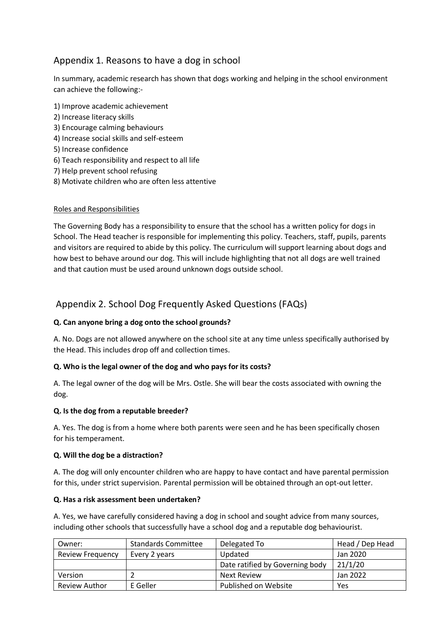# Appendix 1. Reasons to have a dog in school

In summary, academic research has shown that dogs working and helping in the school environment can achieve the following:-

- 1) Improve academic achievement
- 2) Increase literacy skills
- 3) Encourage calming behaviours
- 4) Increase social skills and self-esteem
- 5) Increase confidence
- 6) Teach responsibility and respect to all life
- 7) Help prevent school refusing
- 8) Motivate children who are often less attentive

# Roles and Responsibilities

The Governing Body has a responsibility to ensure that the school has a written policy for dogs in School. The Head teacher is responsible for implementing this policy. Teachers, staff, pupils, parents and visitors are required to abide by this policy. The curriculum will support learning about dogs and how best to behave around our dog. This will include highlighting that not all dogs are well trained and that caution must be used around unknown dogs outside school.

# Appendix 2. School Dog Frequently Asked Questions (FAQs)

# **Q. Can anyone bring a dog onto the school grounds?**

A. No. Dogs are not allowed anywhere on the school site at any time unless specifically authorised by the Head. This includes drop off and collection times.

# **Q. Who is the legal owner of the dog and who pays for its costs?**

A. The legal owner of the dog will be Mrs. Ostle. She will bear the costs associated with owning the dog.

# **Q. Is the dog from a reputable breeder?**

A. Yes. The dog is from a home where both parents were seen and he has been specifically chosen for his temperament.

# **Q. Will the dog be a distraction?**

A. The dog will only encounter children who are happy to have contact and have parental permission for this, under strict supervision. Parental permission will be obtained through an opt-out letter.

# **Q. Has a risk assessment been undertaken?**

A. Yes, we have carefully considered having a dog in school and sought advice from many sources, including other schools that successfully have a school dog and a reputable dog behaviourist.

| Owner:                  | <b>Standards Committee</b> | Delegated To                    | Head / Dep Head |
|-------------------------|----------------------------|---------------------------------|-----------------|
| <b>Review Frequency</b> | Every 2 years              | Updated                         | Jan 2020        |
|                         |                            | Date ratified by Governing body | 21/1/20         |
| Version                 |                            | <b>Next Review</b>              | Jan 2022        |
| <b>Review Author</b>    | E Geller                   | Published on Website            | Yes             |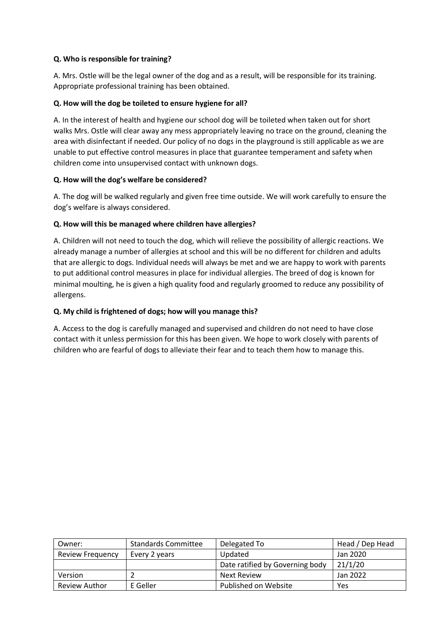#### **Q. Who is responsible for training?**

A. Mrs. Ostle will be the legal owner of the dog and as a result, will be responsible for its training. Appropriate professional training has been obtained.

# **Q. How will the dog be toileted to ensure hygiene for all?**

A. In the interest of health and hygiene our school dog will be toileted when taken out for short walks Mrs. Ostle will clear away any mess appropriately leaving no trace on the ground, cleaning the area with disinfectant if needed. Our policy of no dogs in the playground is still applicable as we are unable to put effective control measures in place that guarantee temperament and safety when children come into unsupervised contact with unknown dogs.

#### **Q. How will the dog's welfare be considered?**

A. The dog will be walked regularly and given free time outside. We will work carefully to ensure the dog's welfare is always considered.

#### **Q. How will this be managed where children have allergies?**

A. Children will not need to touch the dog, which will relieve the possibility of allergic reactions. We already manage a number of allergies at school and this will be no different for children and adults that are allergic to dogs. Individual needs will always be met and we are happy to work with parents to put additional control measures in place for individual allergies. The breed of dog is known for minimal moulting, he is given a high quality food and regularly groomed to reduce any possibility of allergens.

#### **Q. My child is frightened of dogs; how will you manage this?**

A. Access to the dog is carefully managed and supervised and children do not need to have close contact with it unless permission for this has been given. We hope to work closely with parents of children who are fearful of dogs to alleviate their fear and to teach them how to manage this.

| Owner:                  | <b>Standards Committee</b> | Delegated To                    | Head / Dep Head |
|-------------------------|----------------------------|---------------------------------|-----------------|
| <b>Review Frequency</b> | Every 2 years              | Updated                         | Jan 2020        |
|                         |                            | Date ratified by Governing body | 21/1/20         |
| Version                 |                            | <b>Next Review</b>              | Jan 2022        |
| <b>Review Author</b>    | E Geller                   | Published on Website            | Yes             |